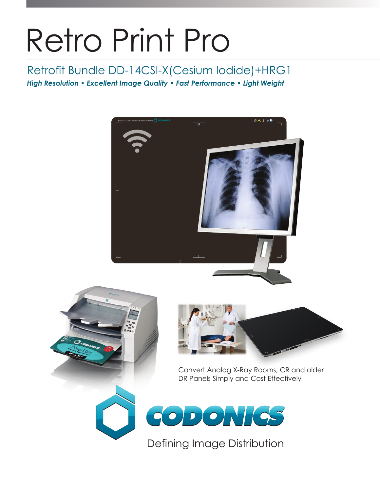# Retro Print Pro

## Retrofit Bundle DD-14CSI-X(Cesium Iodide)+HRG1

*High Resolution • Excellent Image Quality • Fast Performance • Light Weight*







Convert Analog X-Ray Rooms, CR and older DR Panels Simply and Cost Effectively



Defining Image Distribution